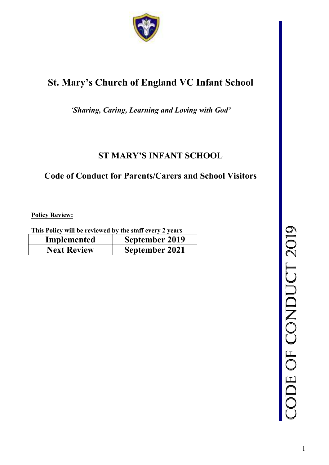

# **St. Mary's Church of England VC Infant School**

*'Sharing, Caring, Learning and Loving with God'* 

## **ST MARY'S INFANT SCHOOL**

### **Code of Conduct for Parents/Carers and School Visitors**

**Policy Review:** 

**This Policy will be reviewed by the staff every 2 years** 

| Implemented        | September 2019        |
|--------------------|-----------------------|
| <b>Next Review</b> | <b>September 2021</b> |

CODE OF C ONDUCT 201  $\mathcal{O}$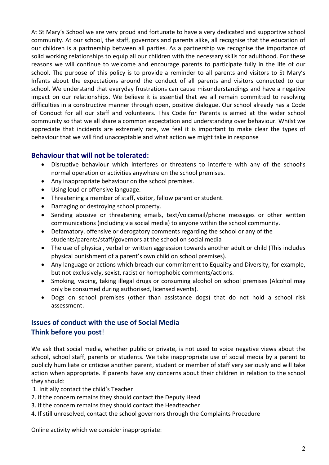At St Mary's School we are very proud and fortunate to have a very dedicated and supportive school community. At our school, the staff, governors and parents alike, all recognise that the education of our children is a partnership between all parties. As a partnership we recognise the importance of solid working relationships to equip all our children with the necessary skills for adulthood. For these reasons we will continue to welcome and encourage parents to participate fully in the life of our school. The purpose of this policy is to provide a reminder to all parents and visitors to St Mary's Infants about the expectations around the conduct of all parents and visitors connected to our school. We understand that everyday frustrations can cause misunderstandings and have a negative impact on our relationships. We believe it is essential that we all remain committed to resolving difficulties in a constructive manner through open, positive dialogue. Our school already has a Code of Conduct for all our staff and volunteers. This Code for Parents is aimed at the wider school community so that we all share a common expectation and understanding over behaviour. Whilst we appreciate that incidents are extremely rare, we feel it is important to make clear the types of behaviour that we will find unacceptable and what action we might take in response

#### **Behaviour that will not be tolerated:**

- Disruptive behaviour which interferes or threatens to interfere with any of the school's normal operation or activities anywhere on the school premises.
- Any inappropriate behaviour on the school premises.
- Using loud or offensive language.
- Threatening a member of staff, visitor, fellow parent or student.
- Damaging or destroying school property.
- Sending abusive or threatening emails, text/voicemail/phone messages or other written communications (including via social media) to anyone within the school community.
- Defamatory, offensive or derogatory comments regarding the school or any of the students/parents/staff/governors at the school on social media
- The use of physical, verbal or written aggression towards another adult or child (This includes physical punishment of a parent's own child on school premises).
- Any language or actions which breach our commitment to Equality and Diversity, for example, but not exclusively, sexist, racist or homophobic comments/actions.
- Smoking, vaping, taking illegal drugs or consuming alcohol on school premises (Alcohol may only be consumed during authorised, licensed events).
- Dogs on school premises (other than assistance dogs) that do not hold a school risk assessment.

### **Issues of conduct with the use of Social Media Think before you post**!

We ask that social media, whether public or private, is not used to voice negative views about the school, school staff, parents or students. We take inappropriate use of social media by a parent to publicly humiliate or criticise another parent, student or member of staff very seriously and will take action when appropriate. If parents have any concerns about their children in relation to the school they should:

1. Initially contact the child's Teacher

- 2. If the concern remains they should contact the Deputy Head
- 3. If the concern remains they should contact the Headteacher
- 4. If still unresolved, contact the school governors through the Complaints Procedure

Online activity which we consider inappropriate: